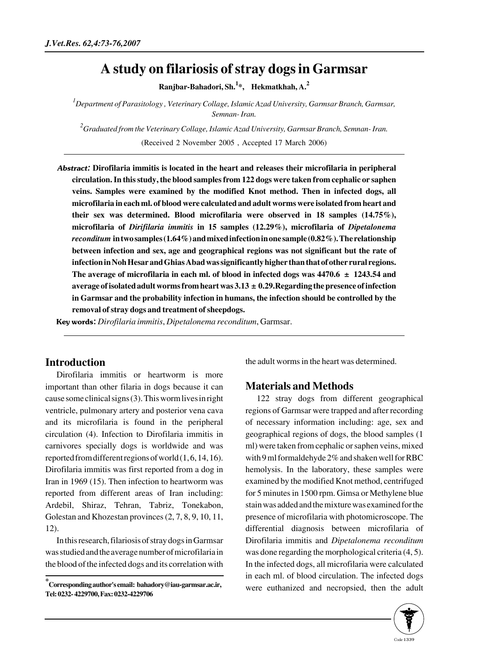# **A study on filariosis of stray dogs in Garmsar**

**Ranjbar-Bahadori, Sh.<sup>1</sup> \*, Hekmatkhah, A.<sup>2</sup>**

*1 Department of Parasitology , Veterinary Collage, Islamic Azad University, Garmsar Branch, Garmsar, Semnan- Iran.* 

*2 Graduated from the Veterinary Collage, Islamic Azad University, Garmsar Branch, Semnan- Iran.*  (Received 2 November 2005 , Accepted 17 March 2006)

Abstract: **Dirofilaria immitis is located in the heart and releases their microfilaria in peripheral circulation. In this study, the blood samples from 122 dogs were taken from cephalic or saphen veins. Samples were examined by the modified Knot method. Then in infected dogs, all microfilaria in each ml. of blood were calculated and adult worms were isolated from heart and their sex was determined. Blood microfilaria were observed in 18 samples (14.75%), microfilaria of** *Dirifilaria immitis* **in 15 samples (12.29%), microfilaria of** *Dipetalonema reconditum* **in two samples (1.64%) and mixed infection in one sample (0.82%). The relationship between infection and sex, age and geographical regions was not significant but the rate of infection in Noh Hesar and Ghias Abad was significantly higher than that of other rural regions. The average of microfilaria in each ml. of blood in infected dogs was 4470.6 ± 1243.54 and average of isolated adult worms from heart was 3.13 ± 0.29.Regarding the presence of infection in Garmsar and the probability infection in humans, the infection should be controlled by the removal of stray dogs and treatment of sheepdogs.** 

Key words: *Dirofilaria immitis*, *Dipetalonema reconditum*, Garmsar.

## **Introduction**

Dirofilaria immitis or heartworm is more important than other filaria in dogs because it can cause some clinical signs (3). This worm lives in right ventricle, pulmonary artery and posterior vena cava and its microfilaria is found in the peripheral circulation (4). Infection to Dirofilaria immitis in carnivores specially dogs is worldwide and was reported from different regions of world (1, 6, 14, 16). Dirofilaria immitis was first reported from a dog in Iran in 1969 (15). Then infection to heartworm was reported from different areas of Iran including: Ardebil, Shiraz, Tehran, Tabriz, Tonekabon, Golestan and Khozestan provinces (2, 7, 8, 9, 10, 11, 12).

In this research, filariosis of stray dogs in Garmsar was studied and the average number of microfilaria in the blood of the infected dogs and its correlation with the adult worms in the heart was determined.

### **Materials and Methods**

122 stray dogs from different geographical regions of Garmsar were trapped and after recording of necessary information including: age, sex and geographical regions of dogs, the blood samples (1 ml) were taken from cephalic or saphen veins, mixed with 9 ml formaldehyde 2% and shaken well for RBC hemolysis. In the laboratory, these samples were examined by the modified Knot method, centrifuged for 5 minutes in 1500 rpm. Gimsa or Methylene blue stain was added and the mixture was examined for the presence of microfilaria with photomicroscope. The differential diagnosis between microfilaria of Dirofilaria immitis and *Dipetalonema reconditum* was done regarding the morphological criteria (4, 5). In the infected dogs, all microfilaria were calculated in each ml. of blood circulation. The infected dogs were euthanized and necropsied, then the adult



**<sup>\*</sup> Corresponding author's email: bahadory@iau-garmsar.ac.ir, Tel: 0232- 4229700, Fax: 0232-4229706**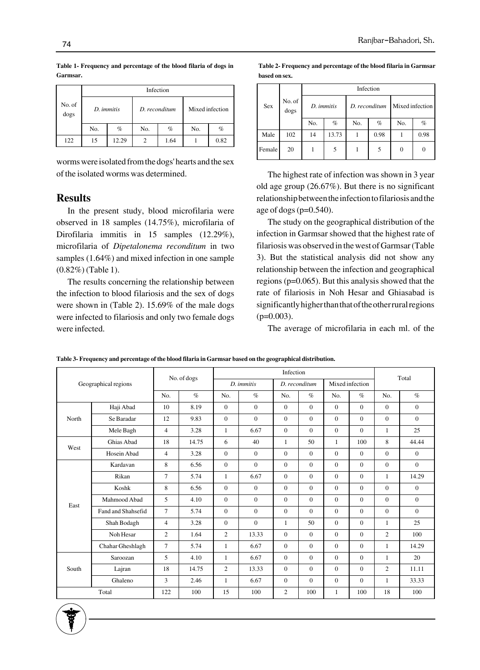|                | Infection         |       |     |               |                 |      |  |  |
|----------------|-------------------|-------|-----|---------------|-----------------|------|--|--|
| No. of<br>dogs | D. <i>immitis</i> |       |     | D. reconditum | Mixed infection |      |  |  |
|                | No.               | $\%$  | No. | $\%$          | No.             | $\%$ |  |  |
| 122            | 15                | 12.29 |     | 1.64          |                 | 0.82 |  |  |

**Table 1- Frequency and percentage of the blood filaria of dogs in Garmsar.**

worms were isolated from the dogs' hearts and the sex of the isolated worms was determined.

#### **Results**

In the present study, blood microfilaria were observed in 18 samples (14.75%), microfilaria of Dirofilaria immitis in 15 samples (12.29%), microfilaria of *Dipetalonema reconditum* in two samples (1.64%) and mixed infection in one sample (0.82%) (Table 1).

The results concerning the relationship between the infection to blood filariosis and the sex of dogs were shown in (Table 2). 15.69% of the male dogs were infected to filariosis and only two female dogs were infected.

**Table 2- Frequency and percentage of the blood filaria in Garmsar based on sex.**

|        | No. of<br>dogs | Infection |            |     |               |                 |      |  |  |  |
|--------|----------------|-----------|------------|-----|---------------|-----------------|------|--|--|--|
| Sex    |                |           | D. immitis |     | D. reconditum | Mixed infection |      |  |  |  |
|        |                | No.       | $\%$       | No. | $\%$          | No.             | $\%$ |  |  |  |
| Male   | 102            | 14        | 13.73      | ı   | 0.98          |                 | 0.98 |  |  |  |
| Female | 20             |           | 5          |     | 5             | $\Omega$        | 0    |  |  |  |

The highest rate of infection was shown in 3 year old age group (26.67%). But there is no significant relationship between the infection to filariosis and the age of dogs  $(p=0.540)$ .

The study on the geographical distribution of the infection in Garmsar showed that the highest rate of filariosis was observed in the west of Garmsar (Table 3). But the statistical analysis did not show any relationship between the infection and geographical regions (p=0.065). But this analysis showed that the rate of filariosis in Noh Hesar and Ghiasabad is significantly higher than that of the other rural regions  $(p=0.003)$ .

The average of microfilaria in each ml. of the

| Geographical regions |                    | No. of dogs    |       | Infection      |                |                |              |                 |                | Total          |              |
|----------------------|--------------------|----------------|-------|----------------|----------------|----------------|--------------|-----------------|----------------|----------------|--------------|
|                      |                    |                |       | D. immitis     |                | D. reconditum  |              | Mixed infection |                |                |              |
|                      |                    | No.            | $\%$  | No.            | $\%$           | No.            | $\%$         | No.             | $\%$           | No.            | $\%$         |
| North                | Haji Abad          | 10             | 8.19  | $\Omega$       | $\Omega$       | $\Omega$       | $\Omega$     | $\Omega$        | $\Omega$       | $\Omega$       | $\mathbf{0}$ |
|                      | Se Baradar         | 12             | 9.83  | $\Omega$       | $\mathbf{0}$   | $\Omega$       | $\Omega$     | $\Omega$        | $\Omega$       | $\Omega$       | $\Omega$     |
|                      | Mele Bagh          | $\overline{4}$ | 3.28  | $\mathbf{1}$   | 6.67           | $\Omega$       | $\Omega$     | $\mathbf{0}$    | $\Omega$       | $\mathbf{1}$   | 25           |
| West                 | Ghias Abad         | 18             | 14.75 | 6              | 40             | $\mathbf{1}$   | 50           | $\mathbf{1}$    | 100            | 8              | 44.44        |
|                      | Hosein Abad        | 4              | 3.28  | $\Omega$       | $\Omega$       | $\Omega$       | $\Omega$     | $\Omega$        | $\Omega$       | $\Omega$       | $\Omega$     |
| East                 | Kardavan           | 8              | 6.56  | $\mathbf{0}$   | $\mathbf{0}$   | $\Omega$       | $\mathbf{0}$ | $\mathbf{0}$    | $\mathbf{0}$   | $\mathbf{0}$   | $\mathbf{0}$ |
|                      | Rikan              | 7              | 5.74  | $\mathbf{1}$   | 6.67           | $\Omega$       | $\Omega$     | $\Omega$        | $\Omega$       | $\mathbf{1}$   | 14.29        |
|                      | Koshk              | 8              | 6.56  | $\Omega$       | $\Omega$       | $\Omega$       | $\Omega$     | $\Omega$        | $\Omega$       | $\Omega$       | $\mathbf{0}$ |
|                      | Mahmood Abad       | 5              | 4.10  | $\Omega$       | $\mathbf{0}$   | $\Omega$       | $\Omega$     | $\Omega$        | $\Omega$       | $\Omega$       | $\Omega$     |
|                      | Fand and Shahsefid | $\tau$         | 5.74  | $\Omega$       | $\mathbf{0}$   | $\Omega$       | $\Omega$     | $\Omega$        | $\overline{0}$ | $\Omega$       | $\Omega$     |
|                      | Shah Bodagh        | $\overline{4}$ | 3.28  | $\mathbf{0}$   | $\overline{0}$ | 1              | 50           | $\Omega$        | $\overline{0}$ | 1              | 25           |
|                      | Noh Hesar          | 2              | 1.64  | $\overline{c}$ | 13.33          | $\mathbf{0}$   | $\mathbf{0}$ | $\Omega$        | $\overline{0}$ | $\overline{c}$ | 100          |
|                      | Chahar Gheshlagh   | $\tau$         | 5.74  | $\mathbf{1}$   | 6.67           | $\Omega$       | $\Omega$     | $\Omega$        | $\Omega$       | 1              | 14.29        |
| South                | Saroozan           | 5              | 4.10  | $\mathbf{1}$   | 6.67           | $\Omega$       | $\Omega$     | $\Omega$        | $\Omega$       | $\mathbf{1}$   | 20           |
|                      | Lajran             | 18             | 14.75 | $\overline{c}$ | 13.33          | $\Omega$       | $\mathbf{0}$ | $\Omega$        | $\overline{0}$ | $\overline{c}$ | 11.11        |
|                      | Ghaleno            | 3              | 2.46  | $\mathbf{1}$   | 6.67           | $\Omega$       | $\Omega$     | $\Omega$        | $\Omega$       | 1              | 33.33        |
| Total                |                    | 122            | 100   | 15             | 100            | $\overline{c}$ | 100          | $\mathbf{1}$    | 100            | 18             | 100          |

**Table 3- Frequency and percentage of the blood filaria in Garmsar based on the geographical distribution.**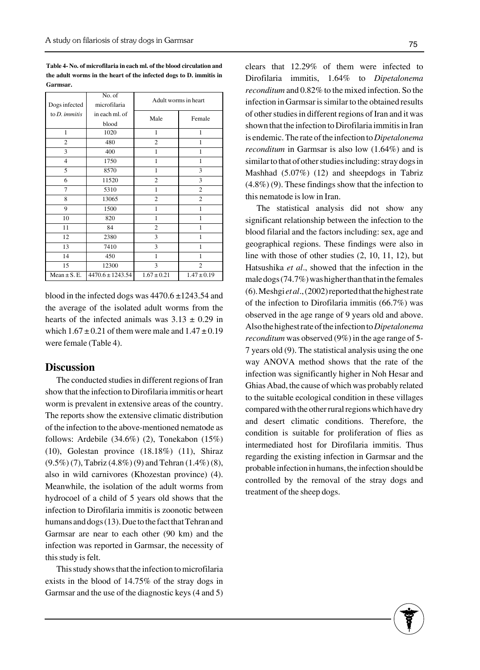**Table 4- No. of microfilaria in each ml. of the blood circulation and the adult worms in the heart of the infected dogs to D. immitis in Garmsar.**

|                         | No. of               | Adult worms in heart |                 |  |  |  |
|-------------------------|----------------------|----------------------|-----------------|--|--|--|
| Dogs infected           | microfilaria         |                      |                 |  |  |  |
| to $D$ . <i>immitis</i> | in each ml. of       | Male                 | Female          |  |  |  |
|                         | blood                |                      |                 |  |  |  |
| $\mathbf{1}$            | 1020                 | $\mathbf{1}$         | $\mathbf{1}$    |  |  |  |
| $\overline{2}$          | 480                  | $\overline{c}$       | 1               |  |  |  |
| 3                       | 400                  | 1                    | 1               |  |  |  |
| 4                       | 1750                 | 1                    | 1               |  |  |  |
| 5                       | 8570                 | $\mathbf{1}$         | 3               |  |  |  |
| 6                       | 11520                | $\overline{c}$       | 3               |  |  |  |
| 7                       | 5310                 | $\mathbf{1}$         | $\overline{c}$  |  |  |  |
| 8                       | 13065                | $\overline{2}$       | $\overline{c}$  |  |  |  |
| 9                       | 1500                 | $\mathbf{1}$         | 1               |  |  |  |
| 10                      | 820                  | 1                    | 1               |  |  |  |
| 11                      | 84                   | $\overline{2}$       | 1               |  |  |  |
| 12                      | 2380                 | 3                    | 1               |  |  |  |
| 13                      | 7410                 | 3                    | 1               |  |  |  |
| 14                      | 450                  | $\mathbf{1}$         | 1               |  |  |  |
| 15                      | 12300                | 3                    | $\overline{c}$  |  |  |  |
| Mean $\pm$ S. E.        | $4470.6 \pm 1243.54$ | $1.67 \pm 0.21$      | $1.47 \pm 0.19$ |  |  |  |

blood in the infected dogs was  $4470.6 \pm 1243.54$  and the average of the isolated adult worms from the hearts of the infected animals was  $3.13 \pm 0.29$  in which  $1.67 \pm 0.21$  of them were male and  $1.47 \pm 0.19$ were female (Table 4).

#### **Discussion**

The conducted studies in different regions of Iran show that the infection to Dirofilaria immitis or heart worm is prevalent in extensive areas of the country. The reports show the extensive climatic distribution of the infection to the above-mentioned nematode as follows: Ardebile (34.6%) (2), Tonekabon (15%) (10), Golestan province (18.18%) (11), Shiraz (9.5%) (7), Tabriz (4.8%) (9) and Tehran (1.4%) (8), also in wild carnivores (Khozestan province) (4). Meanwhile, the isolation of the adult worms from hydrocoel of a child of 5 years old shows that the infection to Dirofilaria immitis is zoonotic between humans and dogs (13). Due to the fact that Tehran and Garmsar are near to each other (90 km) and the infection was reported in Garmsar, the necessity of this study is felt.

This study shows that the infection to microfilaria exists in the blood of 14.75% of the stray dogs in Garmsar and the use of the diagnostic keys (4 and 5)

clears that 12.29% of them were infected to Dirofilaria immitis, 1.64% to *Dipetalonema reconditum* and 0.82% to the mixed infection. So the infection in Garmsar is similar to the obtained results of other studies in different regions of Iran and it was shown that the infection to Dirofilaria immitis in Iran is endemic. The rate of the infection to *Dipetalonema reconditum* in Garmsar is also low (1.64%) and is similar to that of other studies including: stray dogs in Mashhad (5.07%) (12) and sheepdogs in Tabriz (4.8%) (9). These findings show that the infection to this nematode is low in Iran.

The statistical analysis did not show any significant relationship between the infection to the blood filarial and the factors including: sex, age and geographical regions. These findings were also in line with those of other studies (2, 10, 11, 12), but Hatsushika *et al*., showed that the infection in the male dogs (74.7%) was higher than that in the females (6). Meshgi *et al*., (2002) reported that the highest rate of the infection to Dirofilaria immitis (66.7%) was observed in the age range of 9 years old and above. Also the highest rate of the infection to *Dipetalonema reconditum* was observed (9%) in the age range of 5- 7 years old (9). The statistical analysis using the one way ANOVA method shows that the rate of the infection was significantly higher in Noh Hesar and Ghias Abad, the cause of which was probably related to the suitable ecological condition in these villages compared with the other rural regions which have dry and desert climatic conditions. Therefore, the condition is suitable for proliferation of flies as intermediated host for Dirofilaria immitis. Thus regarding the existing infection in Garmsar and the probable infection in humans, the infection should be controlled by the removal of the stray dogs and treatment of the sheep dogs.

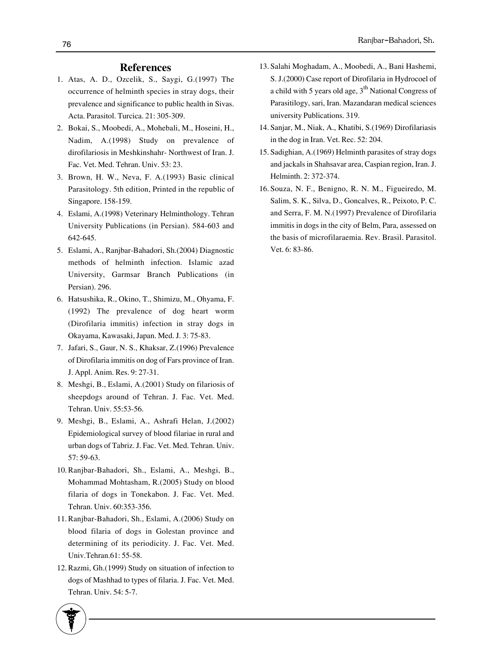#### **References**

- Atas, A. D., Ozcelik, S., Saygi, G.(1997) The 1. occurrence of helminth species in stray dogs, their prevalence and significance to public health in Sivas. Acta. Parasitol. Turcica. 21: 305-309.
- 2. Bokai, S., Moobedi, A., Mohebali, M., Hoseini, H., Nadim, A.(1998) Study on prevalence of dirofilariosis in Meshkinshahr- Northwest of Iran. J. Fac. Vet. Med. Tehran. Univ. 53: 23.
- 3. Brown, H. W., Neva, F. A.(1993) Basic clinical Parasitology. 5th edition, Printed in the republic of Singapore. 158-159.
- Eslami, A.(1998) Veterinary Helminthology. Tehran 4. University Publications (in Persian). 584-603 and 642-645.
- Eslami, A., Ranjbar-Bahadori, Sh.(2004) Diagnostic 5. methods of helminth infection. Islamic azad University, Garmsar Branch Publications (in Persian). 296.
- 6. Hatsushika, R., Okino, T., Shimizu, M., Ohyama, F. (1992) The prevalence of dog heart worm (Dirofilaria immitis) infection in stray dogs in Okayama, Kawasaki, Japan. Med. J. 3: 75-83.
- 7. Jafari, S., Gaur, N. S., Khaksar, Z.(1996) Prevalence of Dirofilaria immitis on dog of Fars province of Iran. J. Appl. Anim. Res. 9: 27-31.
- 8. Meshgi, B., Eslami, A.(2001) Study on filariosis of sheepdogs around of Tehran. J. Fac. Vet. Med. Tehran. Univ. 55:53-56.
- 9. Meshgi, B., Eslami, A., Ashrafi Helan, J.(2002) Epidemiological survey of blood filariae in rural and urban dogs of Tabriz. J. Fac. Vet. Med. Tehran. Univ. 57: 59-63.
- 10. Ranjbar-Bahadori, Sh., Eslami, A., Meshgi, B., Mohammad Mohtasham, R.(2005) Study on blood filaria of dogs in Tonekabon. J. Fac. Vet. Med. Tehran. Univ. 60:353-356.
- 11. Ranjbar-Bahadori, Sh., Eslami, A.(2006) Study on blood filaria of dogs in Golestan province and determining of its periodicity. J. Fac. Vet. Med. Univ.Tehran.61: 55-58.
- 12. Razmi, Gh.(1999) Study on situation of infection to dogs of Mashhad to types of filaria. J. Fac. Vet. Med. Tehran. Univ. 54: 5-7.
- 13. Salahi Moghadam, A., Moobedi, A., Bani Hashemi, S. J.(2000) Case report of Dirofilaria in Hydrocoel of a child with 5 years old age,  $3<sup>th</sup>$  National Congress of Parasitilogy, sari, Iran. Mazandaran medical sciences university Publications. 319.
- 14. Sanjar, M., Niak, A., Khatibi, S.(1969) Dirofilariasis in the dog in Iran. Vet. Rec. 52: 204.
- 15. Sadighian, A.(1969) Helminth parasites of stray dogs and jackals in Shahsavar area, Caspian region, Iran. J. Helminth. 2: 372-374.
- 16. Souza, N. F., Benigno, R. N. M., Figueiredo, M. Salim, S. K., Silva, D., Goncalves, R., Peixoto, P. C. and Serra, F. M. N.(1997) Prevalence of Dirofilaria immitis in dogs in the city of Belm, Para, assessed on the basis of microfilaraemia. Rev. Brasil. Parasitol. Vet. 6: 83-86.